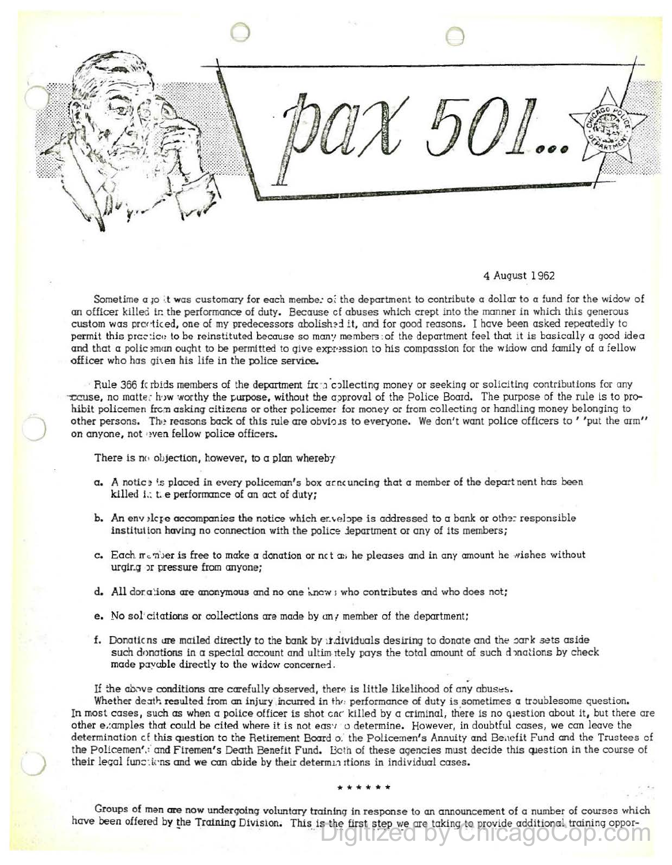$\bigcirc$  $1.501$ 

## 4 August 1 962

Sometime a joit was customary for each membe: oi the department to contribute a dollar to a fund for the widow of an officer killeci ir. the performance of duty. Because cf abuses which crept into the manner in which this qenerous custom was practiced, one of my predecessors abolished it, and for good reasons. I have been asked repeatedly to permit this prc~:ic•! to be reinstituted because so man? members :of the department feel that it is basically a good idea and that a polic >man ought to be permitted to give expr·>ssion to his compassion for the widow and family of a fellow officer who has given his life in the police service.

Rule 366 fc rbids members of the department frcta collecting money or seeking or soliciting contributions for any to to matte: how worthy the purpose, without the approval of the Police Board. The purpose of the rule is to prohibit policemen frc:n asking citizens or other policemer for money or from collecting or handlinq money belonging to other persons. The reasons back of this rule are obvious to everyone. We don't want police officers to ' 'put the arm'' on *anyone,* not ven fellow police officers.

There is no objection, however, to a plan whereby

J

- a. A notic is placed in every policeman's box or a noning that a member of the depart nent has been killed i.: t e performance of an act of duty;
- b. An env elg-e accompanies the notice which errelape is addressed to a bank or other responsible institution having no connection with the police Jepartment or any of its members;
- c. Each member is free to make a donation or nct  $a_i$ ; he pleases and in any amount he wishes without urgir.g )t pressure from cmyone;
- d. All dorations are anonymous and no one throw; who contributes and who does not;
- e. No sol citations or collections are made by any member of the department;
- f. Donations are mailed directly to the bank by individuals desiring to donate and the park sets aside such donations in a special account and ultim itely pays the total amount of such donations by check made pavcble directly to the widow concerned.

If the above conditions are carefully observed, there is little likelihood of any abuses.

Whether death resulted from an injury incurred in the performance of duty is sometimes a troublesome question. In most cases, such as when a police officer is shot and killed by a criminal, there is no question about it, but there are other e.:amples that could be cited where it is not *eas·1* o determine. However, in doubtful cases, we can leave the determination of this question to the Retirement Board o. the Policemen's Annuity and Benefit Fund and the Trustees of the Policemen',: and Firemen's Death Benefit Fund. Both of these agencies must decide this question in the course of their legal functions and we can abide by their determinations in individual cases.

## \*\*\*\*\*\*

Groups of men are now undergoing voluntary training in response to an announcement of a number of courses which have been offered by the Training Division. This is the first step we are taking to provide additional training oppor-<br>Digitized by ChicagoCop.com